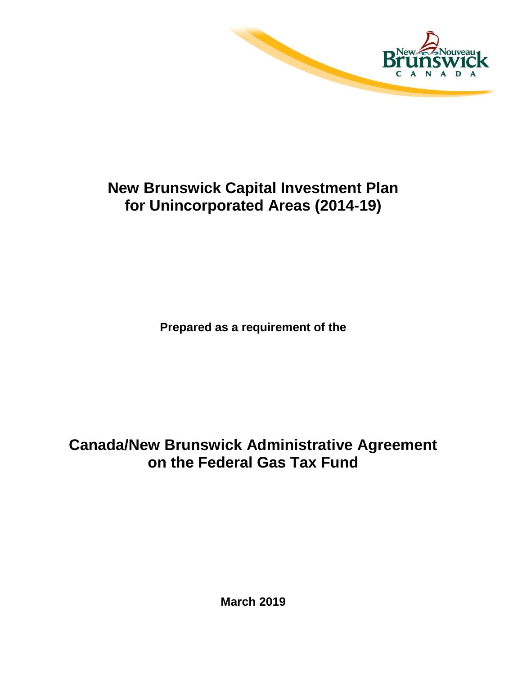

# **New Brunswick Capital Investment Plan for Unincorporated Areas (2014-19)**

**Prepared as a requirement of the**

# **Canada/New Brunswick Administrative Agreement on the Federal Gas Tax Fund**

**March 2019**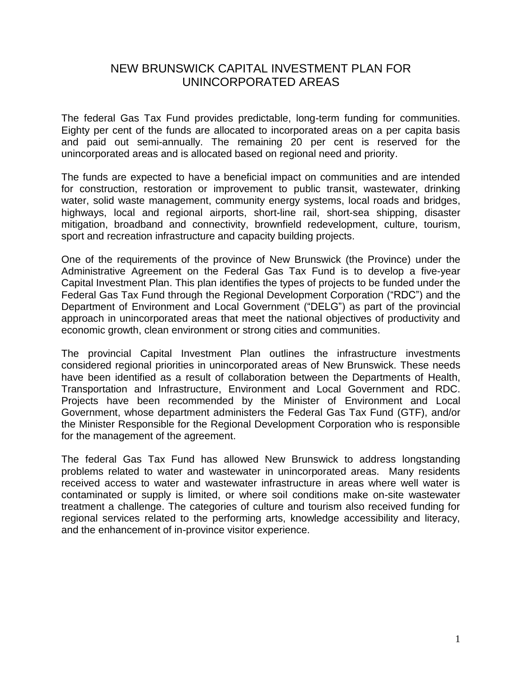### NEW BRUNSWICK CAPITAL INVESTMENT PLAN FOR UNINCORPORATED AREAS

The federal Gas Tax Fund provides predictable, long-term funding for communities. Eighty per cent of the funds are allocated to incorporated areas on a per capita basis and paid out semi-annually. The remaining 20 per cent is reserved for the unincorporated areas and is allocated based on regional need and priority.

The funds are expected to have a beneficial impact on communities and are intended for construction, restoration or improvement to public transit, wastewater, drinking water, solid waste management, community energy systems, local roads and bridges, highways, local and regional airports, short-line rail, short-sea shipping, disaster mitigation, broadband and connectivity, brownfield redevelopment, culture, tourism, sport and recreation infrastructure and capacity building projects.

One of the requirements of the province of New Brunswick (the Province) under the Administrative Agreement on the Federal Gas Tax Fund is to develop a five-year Capital Investment Plan. This plan identifies the types of projects to be funded under the Federal Gas Tax Fund through the Regional Development Corporation ("RDC") and the Department of Environment and Local Government ("DELG") as part of the provincial approach in unincorporated areas that meet the national objectives of productivity and economic growth, clean environment or strong cities and communities.

The provincial Capital Investment Plan outlines the infrastructure investments considered regional priorities in unincorporated areas of New Brunswick. These needs have been identified as a result of collaboration between the Departments of Health, Transportation and Infrastructure, Environment and Local Government and RDC. Projects have been recommended by the Minister of Environment and Local Government, whose department administers the Federal Gas Tax Fund (GTF), and/or the Minister Responsible for the Regional Development Corporation who is responsible for the management of the agreement.

The federal Gas Tax Fund has allowed New Brunswick to address longstanding problems related to water and wastewater in unincorporated areas. Many residents received access to water and wastewater infrastructure in areas where well water is contaminated or supply is limited, or where soil conditions make on-site wastewater treatment a challenge. The categories of culture and tourism also received funding for regional services related to the performing arts, knowledge accessibility and literacy, and the enhancement of in-province visitor experience.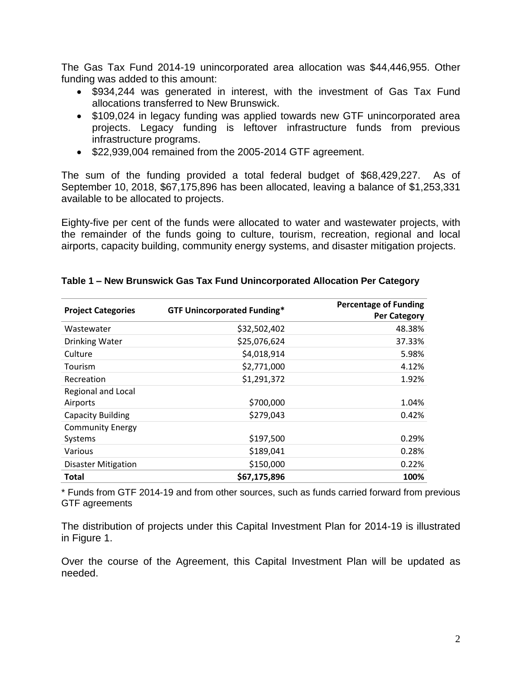The Gas Tax Fund 2014-19 unincorporated area allocation was \$44,446,955. Other funding was added to this amount:

- \$934,244 was generated in interest, with the investment of Gas Tax Fund allocations transferred to New Brunswick.
- \$109,024 in legacy funding was applied towards new GTF unincorporated area projects. Legacy funding is leftover infrastructure funds from previous infrastructure programs.
- \$22,939,004 remained from the 2005-2014 GTF agreement.

The sum of the funding provided a total federal budget of \$68,429,227. As of September 10, 2018, \$67,175,896 has been allocated, leaving a balance of \$1,253,331 available to be allocated to projects.

Eighty-five per cent of the funds were allocated to water and wastewater projects, with the remainder of the funds going to culture, tourism, recreation, regional and local airports, capacity building, community energy systems, and disaster mitigation projects.

| <b>Project Categories</b>  | <b>GTF Unincorporated Funding*</b> | <b>Percentage of Funding</b> |
|----------------------------|------------------------------------|------------------------------|
|                            |                                    | <b>Per Category</b>          |
| Wastewater                 | \$32,502,402                       | 48.38%                       |
| Drinking Water             | \$25,076,624                       | 37.33%                       |
| Culture                    | \$4,018,914                        | 5.98%                        |
| Tourism                    | \$2,771,000                        | 4.12%                        |
| Recreation                 | \$1,291,372                        | 1.92%                        |
| <b>Regional and Local</b>  |                                    |                              |
| Airports                   | \$700,000                          | 1.04%                        |
| <b>Capacity Building</b>   | \$279,043                          | 0.42%                        |
| <b>Community Energy</b>    |                                    |                              |
| Systems                    | \$197,500                          | 0.29%                        |
| Various                    | \$189,041                          | 0.28%                        |
| <b>Disaster Mitigation</b> | \$150,000                          | 0.22%                        |
| <b>Total</b>               | \$67,175,896                       | 100%                         |

#### **Table 1 – New Brunswick Gas Tax Fund Unincorporated Allocation Per Category**

\* Funds from GTF 2014-19 and from other sources, such as funds carried forward from previous GTF agreements

The distribution of projects under this Capital Investment Plan for 2014-19 is illustrated in Figure 1.

Over the course of the Agreement, this Capital Investment Plan will be updated as needed.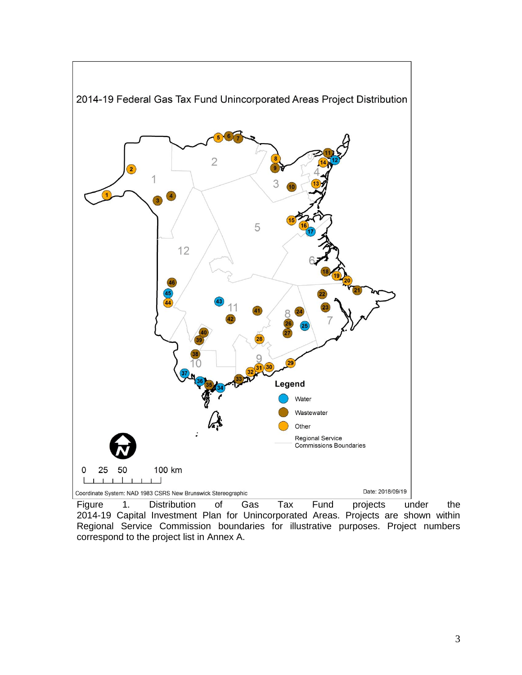

Figure 1. Distribution of Gas Tax Fund projects under the 2014-19 Capital Investment Plan for Unincorporated Areas. Projects are shown within Regional Service Commission boundaries for illustrative purposes. Project numbers correspond to the project list in Annex A.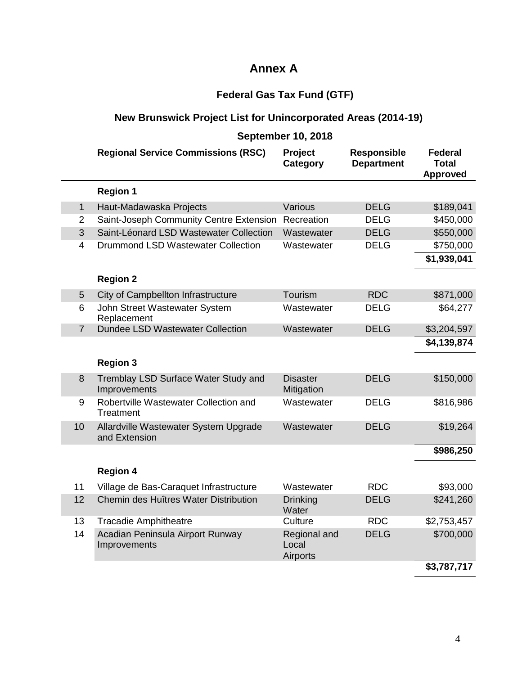## **Annex A**

# **Federal Gas Tax Fund (GTF)**

## **New Brunswick Project List for Unincorporated Areas (2014-19)**

|                | <b>September 10, 2018</b>                              |                                   |                                         |                                                   |
|----------------|--------------------------------------------------------|-----------------------------------|-----------------------------------------|---------------------------------------------------|
|                | <b>Regional Service Commissions (RSC)</b>              | Project<br>Category               | <b>Responsible</b><br><b>Department</b> | <b>Federal</b><br><b>Total</b><br><b>Approved</b> |
|                | <b>Region 1</b>                                        |                                   |                                         |                                                   |
| $\mathbf{1}$   | Haut-Madawaska Projects                                | Various                           | <b>DELG</b>                             | \$189,041                                         |
| $\overline{2}$ | Saint-Joseph Community Centre Extension                | Recreation                        | <b>DELG</b>                             | \$450,000                                         |
| 3              | Saint-Léonard LSD Wastewater Collection                | Wastewater                        | <b>DELG</b>                             | \$550,000                                         |
| 4              | <b>Drummond LSD Wastewater Collection</b>              | Wastewater                        | <b>DELG</b>                             | \$750,000                                         |
|                |                                                        |                                   |                                         | \$1,939,041                                       |
|                | <b>Region 2</b>                                        |                                   |                                         |                                                   |
| 5              | City of Campbellton Infrastructure                     | Tourism                           | <b>RDC</b>                              | \$871,000                                         |
| 6              | John Street Wastewater System<br>Replacement           | Wastewater                        | <b>DELG</b>                             | \$64,277                                          |
| $\overline{7}$ | <b>Dundee LSD Wastewater Collection</b>                | Wastewater                        | <b>DELG</b>                             | \$3,204,597                                       |
|                |                                                        |                                   |                                         | \$4,139,874                                       |
|                | <b>Region 3</b>                                        |                                   |                                         |                                                   |
| 8              | Tremblay LSD Surface Water Study and<br>Improvements   | <b>Disaster</b><br>Mitigation     | <b>DELG</b>                             | \$150,000                                         |
| 9              | Robertville Wastewater Collection and<br>Treatment     | Wastewater                        | DELG                                    | \$816,986                                         |
| 10             | Allardville Wastewater System Upgrade<br>and Extension | Wastewater                        | <b>DELG</b>                             | \$19,264                                          |
|                |                                                        |                                   |                                         | \$986,250                                         |
|                | <b>Region 4</b>                                        |                                   |                                         |                                                   |
| 11             | Village de Bas-Caraquet Infrastructure                 | Wastewater                        | <b>RDC</b>                              | \$93,000                                          |
| 12             | Chemin des Huîtres Water Distribution                  | <b>Drinking</b><br>Water          | <b>DELG</b>                             | \$241,260                                         |
| 13             | <b>Tracadie Amphitheatre</b>                           | Culture                           | <b>RDC</b>                              | \$2,753,457                                       |
| 14             | Acadian Peninsula Airport Runway<br>Improvements       | Regional and<br>Local<br>Airports | <b>DELG</b>                             | \$700,000                                         |
|                |                                                        |                                   |                                         |                                                   |

#### **\$3,787,717**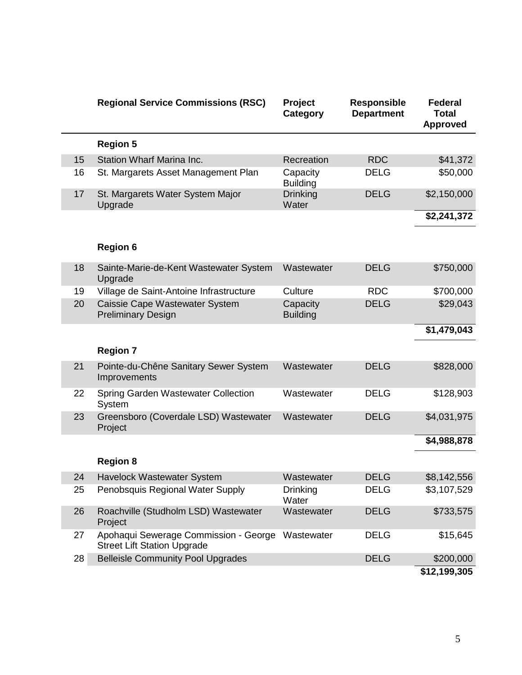|  |    | <b>Regional Service Commissions (RSC)</b>                                   | Project<br>Category         | <b>Responsible</b><br><b>Department</b> | <b>Federal</b><br><b>Total</b><br><b>Approved</b> |
|--|----|-----------------------------------------------------------------------------|-----------------------------|-----------------------------------------|---------------------------------------------------|
|  |    | <b>Region 5</b>                                                             |                             |                                         |                                                   |
|  | 15 | <b>Station Wharf Marina Inc.</b>                                            | Recreation                  | <b>RDC</b>                              | \$41,372                                          |
|  | 16 | St. Margarets Asset Management Plan                                         | Capacity<br><b>Building</b> | <b>DELG</b>                             | \$50,000                                          |
|  | 17 | St. Margarets Water System Major<br>Upgrade                                 | <b>Drinking</b><br>Water    | <b>DELG</b>                             | \$2,150,000                                       |
|  |    |                                                                             |                             |                                         | \$2,241,372                                       |
|  |    | <b>Region 6</b>                                                             |                             |                                         |                                                   |
|  | 18 | Sainte-Marie-de-Kent Wastewater System<br>Upgrade                           | Wastewater                  | <b>DELG</b>                             | \$750,000                                         |
|  | 19 | Village de Saint-Antoine Infrastructure                                     | Culture                     | <b>RDC</b>                              | \$700,000                                         |
|  | 20 | Caissie Cape Wastewater System<br><b>Preliminary Design</b>                 | Capacity<br><b>Building</b> | <b>DELG</b>                             | \$29,043                                          |
|  |    |                                                                             |                             |                                         | \$1,479,043                                       |
|  |    | <b>Region 7</b>                                                             |                             |                                         |                                                   |
|  | 21 | Pointe-du-Chêne Sanitary Sewer System<br>Improvements                       | Wastewater                  | <b>DELG</b>                             | \$828,000                                         |
|  | 22 | <b>Spring Garden Wastewater Collection</b><br>System                        | Wastewater                  | <b>DELG</b>                             | \$128,903                                         |
|  | 23 | Greensboro (Coverdale LSD) Wastewater<br>Project                            | Wastewater                  | <b>DELG</b>                             | \$4,031,975                                       |
|  |    |                                                                             |                             |                                         | \$4,988,878                                       |
|  |    | <b>Region 8</b>                                                             |                             |                                         |                                                   |
|  | 24 | Havelock Wastewater System                                                  | Wastewater                  | <b>DELG</b>                             | \$8,142,556                                       |
|  | 25 | Penobsquis Regional Water Supply                                            | Drinking<br>Water           | <b>DELG</b>                             | \$3,107,529                                       |
|  | 26 | Roachville (Studholm LSD) Wastewater<br>Project                             | Wastewater                  | <b>DELG</b>                             | \$733,575                                         |
|  | 27 | Apohaqui Sewerage Commission - George<br><b>Street Lift Station Upgrade</b> | Wastewater                  | <b>DELG</b>                             | \$15,645                                          |
|  | 28 | <b>Belleisle Community Pool Upgrades</b>                                    |                             | <b>DELG</b>                             | \$200,000                                         |
|  |    |                                                                             |                             |                                         | \$12,199,305                                      |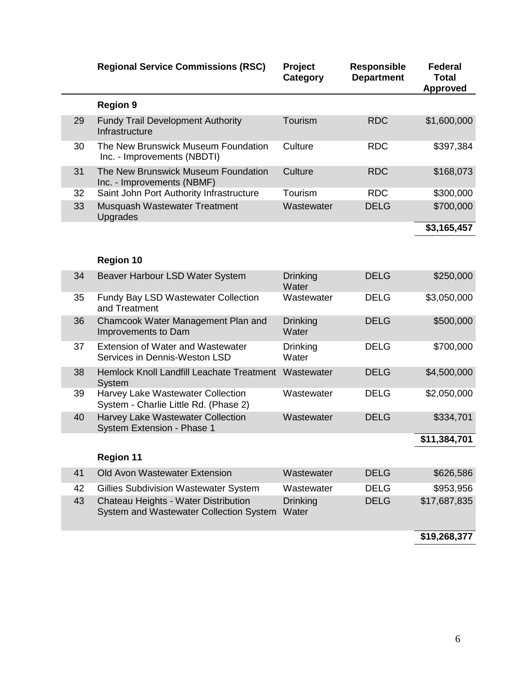|  |    | <b>Regional Service Commissions (RSC)</b>                                       | Project<br>Category      | <b>Responsible</b><br><b>Department</b> | <b>Federal</b><br><b>Total</b><br><b>Approved</b> |
|--|----|---------------------------------------------------------------------------------|--------------------------|-----------------------------------------|---------------------------------------------------|
|  |    | <b>Region 9</b>                                                                 |                          |                                         |                                                   |
|  | 29 | <b>Fundy Trail Development Authority</b><br>Infrastructure                      | Tourism                  | <b>RDC</b>                              | \$1,600,000                                       |
|  | 30 | The New Brunswick Museum Foundation<br>Inc. - Improvements (NBDTI)              | Culture                  | <b>RDC</b>                              | \$397,384                                         |
|  | 31 | The New Brunswick Museum Foundation<br>Inc. - Improvements (NBMF)               | Culture                  | <b>RDC</b>                              | \$168,073                                         |
|  | 32 | Saint John Port Authority Infrastructure                                        | Tourism                  | <b>RDC</b>                              | \$300,000                                         |
|  | 33 | Musquash Wastewater Treatment<br>Upgrades                                       | Wastewater               | <b>DELG</b>                             | \$700,000                                         |
|  |    |                                                                                 |                          |                                         | \$3,165,457                                       |
|  |    |                                                                                 |                          |                                         |                                                   |
|  |    | <b>Region 10</b>                                                                |                          |                                         |                                                   |
|  | 34 | Beaver Harbour LSD Water System                                                 | <b>Drinking</b><br>Water | <b>DELG</b>                             | \$250,000                                         |
|  | 35 | Fundy Bay LSD Wastewater Collection<br>and Treatment                            | Wastewater               | <b>DELG</b>                             | \$3,050,000                                       |
|  | 36 | Chamcook Water Management Plan and<br>Improvements to Dam                       | <b>Drinking</b><br>Water | <b>DELG</b>                             | \$500,000                                         |
|  | 37 | <b>Extension of Water and Wastewater</b><br>Services in Dennis-Weston LSD       | <b>Drinking</b><br>Water | <b>DELG</b>                             | \$700,000                                         |
|  | 38 | Hemlock Knoll Landfill Leachate Treatment<br>System                             | Wastewater               | <b>DELG</b>                             | \$4,500,000                                       |
|  | 39 | Harvey Lake Wastewater Collection<br>System - Charlie Little Rd. (Phase 2)      | Wastewater               | <b>DELG</b>                             | \$2,050,000                                       |
|  | 40 | Harvey Lake Wastewater Collection<br>System Extension - Phase 1                 | Wastewater               | <b>DELG</b>                             | \$334,701                                         |
|  |    |                                                                                 |                          |                                         | \$11,384,701                                      |
|  |    | <b>Region 11</b>                                                                |                          |                                         |                                                   |
|  | 41 | Old Avon Wastewater Extension                                                   | Wastewater               | <b>DELG</b>                             | \$626,586                                         |
|  | 42 | <b>Gillies Subdivision Wastewater System</b>                                    | Wastewater               | <b>DELG</b>                             | \$953,956                                         |
|  | 43 | Chateau Heights - Water Distribution<br>System and Wastewater Collection System | <b>Drinking</b><br>Water | <b>DELG</b>                             | \$17,687,835                                      |
|  |    |                                                                                 |                          |                                         | 010 000 0 <del>77</del>                           |

**\$19,268,377**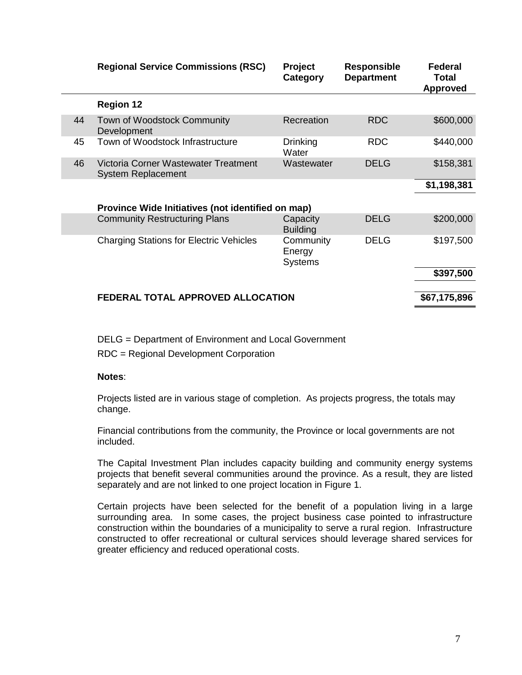|    | <b>Regional Service Commissions (RSC)</b>                         | <b>Project</b><br>Category            | <b>Responsible</b><br><b>Department</b> | <b>Federal</b><br>Total<br><b>Approved</b> |
|----|-------------------------------------------------------------------|---------------------------------------|-----------------------------------------|--------------------------------------------|
|    | <b>Region 12</b>                                                  |                                       |                                         |                                            |
| 44 | Town of Woodstock Community<br>Development                        | Recreation                            | <b>RDC</b>                              | \$600,000                                  |
| 45 | Town of Woodstock Infrastructure                                  | <b>Drinking</b><br>Water              | <b>RDC</b>                              | \$440,000                                  |
| 46 | Victoria Corner Wastewater Treatment<br><b>System Replacement</b> | Wastewater                            | <b>DELG</b>                             | \$158,381                                  |
|    |                                                                   |                                       |                                         | \$1,198,381                                |
|    | Province Wide Initiatives (not identified on map)                 |                                       |                                         |                                            |
|    | <b>Community Restructuring Plans</b>                              | Capacity<br><b>Building</b>           | <b>DELG</b>                             | \$200,000                                  |
|    | <b>Charging Stations for Electric Vehicles</b>                    | Community<br>Energy<br><b>Systems</b> | <b>DELG</b>                             | \$197,500                                  |
|    |                                                                   |                                       |                                         | \$397,500                                  |
|    | FEDERAL TOTAL APPROVED ALLOCATION                                 |                                       |                                         | \$67,175,896                               |
|    |                                                                   |                                       |                                         |                                            |

DELG = Department of Environment and Local Government

RDC = Regional Development Corporation

#### **Notes**:

Projects listed are in various stage of completion. As projects progress, the totals may change.

Financial contributions from the community, the Province or local governments are not included.

The Capital Investment Plan includes capacity building and community energy systems projects that benefit several communities around the province. As a result, they are listed separately and are not linked to one project location in Figure 1.

Certain projects have been selected for the benefit of a population living in a large surrounding area. In some cases, the project business case pointed to infrastructure construction within the boundaries of a municipality to serve a rural region. Infrastructure constructed to offer recreational or cultural services should leverage shared services for greater efficiency and reduced operational costs.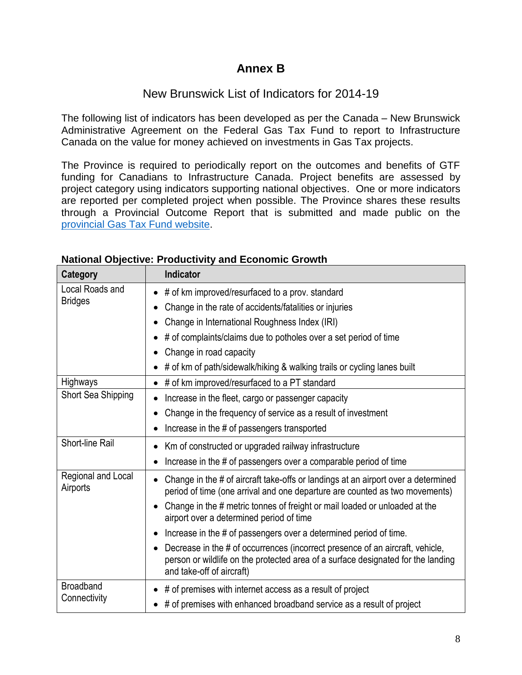## **Annex B**

### New Brunswick List of Indicators for 2014-19

The following list of indicators has been developed as per the Canada – New Brunswick Administrative Agreement on the Federal Gas Tax Fund to report to Infrastructure Canada on the value for money achieved on investments in Gas Tax projects.

The Province is required to periodically report on the outcomes and benefits of GTF funding for Canadians to Infrastructure Canada. Project benefits are assessed by project category using indicators supporting national objectives. One or more indicators are reported per completed project when possible. The Province shares these results through a Provincial Outcome Report that is submitted and made public on the [provincial Gas Tax Fund website.](https://www2.gnb.ca/content/gnb/en/departments/elg/local_government/content/financial_support/content/gas_tax_fund.html)

| Category                       | <b>Indicator</b>                                                                                                                                                                               |
|--------------------------------|------------------------------------------------------------------------------------------------------------------------------------------------------------------------------------------------|
| Local Roads and                | # of km improved/resurfaced to a prov. standard                                                                                                                                                |
| <b>Bridges</b>                 | Change in the rate of accidents/fatalities or injuries                                                                                                                                         |
|                                | Change in International Roughness Index (IRI)                                                                                                                                                  |
|                                | # of complaints/claims due to potholes over a set period of time                                                                                                                               |
|                                | Change in road capacity                                                                                                                                                                        |
|                                | # of km of path/sidewalk/hiking & walking trails or cycling lanes built                                                                                                                        |
| Highways                       | # of km improved/resurfaced to a PT standard<br>$\bullet$                                                                                                                                      |
| Short Sea Shipping             | Increase in the fleet, cargo or passenger capacity                                                                                                                                             |
|                                | Change in the frequency of service as a result of investment                                                                                                                                   |
|                                | Increase in the # of passengers transported                                                                                                                                                    |
| Short-line Rail                | Km of constructed or upgraded railway infrastructure                                                                                                                                           |
|                                | Increase in the # of passengers over a comparable period of time                                                                                                                               |
| Regional and Local<br>Airports | Change in the # of aircraft take-offs or landings at an airport over a determined<br>period of time (one arrival and one departure are counted as two movements)                               |
|                                | Change in the # metric tonnes of freight or mail loaded or unloaded at the<br>airport over a determined period of time                                                                         |
|                                | Increase in the # of passengers over a determined period of time.                                                                                                                              |
|                                | Decrease in the # of occurrences (incorrect presence of an aircraft, vehicle,<br>person or wildlife on the protected area of a surface designated for the landing<br>and take-off of aircraft) |
| <b>Broadband</b>               | # of premises with internet access as a result of project                                                                                                                                      |
| Connectivity                   | # of premises with enhanced broadband service as a result of project                                                                                                                           |

#### **National Objective: Productivity and Economic Growth**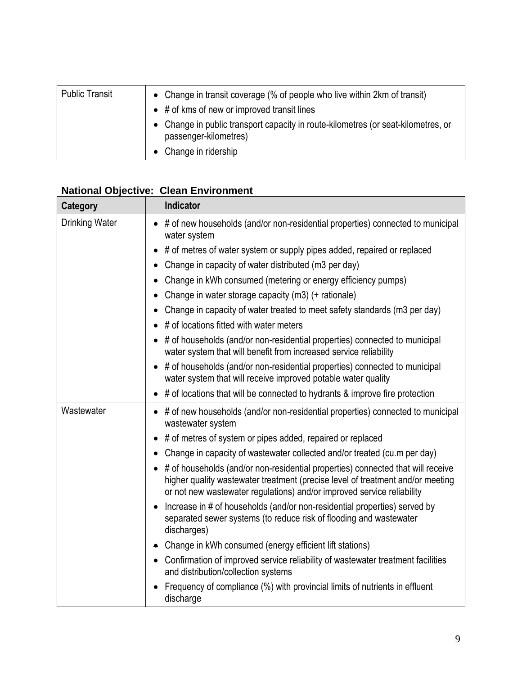| <b>Public Transit</b> | • Change in transit coverage (% of people who live within 2km of transit)<br>$\bullet$ # of kms of new or improved transit lines |
|-----------------------|----------------------------------------------------------------------------------------------------------------------------------|
|                       | • Change in public transport capacity in route-kilometres (or seat-kilometres, or<br>passenger-kilometres)                       |
|                       | • Change in ridership                                                                                                            |

#### **National Objective: Clean Environment**

| Category              | <b>Indicator</b>                                                                                                                                                                                                                            |
|-----------------------|---------------------------------------------------------------------------------------------------------------------------------------------------------------------------------------------------------------------------------------------|
| <b>Drinking Water</b> | # of new households (and/or non-residential properties) connected to municipal<br>water system                                                                                                                                              |
|                       | # of metres of water system or supply pipes added, repaired or replaced                                                                                                                                                                     |
|                       | Change in capacity of water distributed (m3 per day)                                                                                                                                                                                        |
|                       | Change in kWh consumed (metering or energy efficiency pumps)<br>$\bullet$                                                                                                                                                                   |
|                       | Change in water storage capacity (m3) (+ rationale)                                                                                                                                                                                         |
|                       | Change in capacity of water treated to meet safety standards (m3 per day)                                                                                                                                                                   |
|                       | # of locations fitted with water meters                                                                                                                                                                                                     |
|                       | # of households (and/or non-residential properties) connected to municipal<br>water system that will benefit from increased service reliability                                                                                             |
|                       | # of households (and/or non-residential properties) connected to municipal<br>$\bullet$<br>water system that will receive improved potable water quality                                                                                    |
|                       | # of locations that will be connected to hydrants & improve fire protection                                                                                                                                                                 |
| Wastewater            | • # of new households (and/or non-residential properties) connected to municipal<br>wastewater system                                                                                                                                       |
|                       | # of metres of system or pipes added, repaired or replaced                                                                                                                                                                                  |
|                       | Change in capacity of wastewater collected and/or treated (cu.m per day)                                                                                                                                                                    |
|                       | # of households (and/or non-residential properties) connected that will receive<br>higher quality wastewater treatment (precise level of treatment and/or meeting<br>or not new wastewater regulations) and/or improved service reliability |
|                       | Increase in # of households (and/or non-residential properties) served by<br>separated sewer systems (to reduce risk of flooding and wastewater<br>discharges)                                                                              |
|                       | Change in kWh consumed (energy efficient lift stations)                                                                                                                                                                                     |
|                       | • Confirmation of improved service reliability of wastewater treatment facilities<br>and distribution/collection systems                                                                                                                    |
|                       | Frequency of compliance (%) with provincial limits of nutrients in effluent<br>discharge                                                                                                                                                    |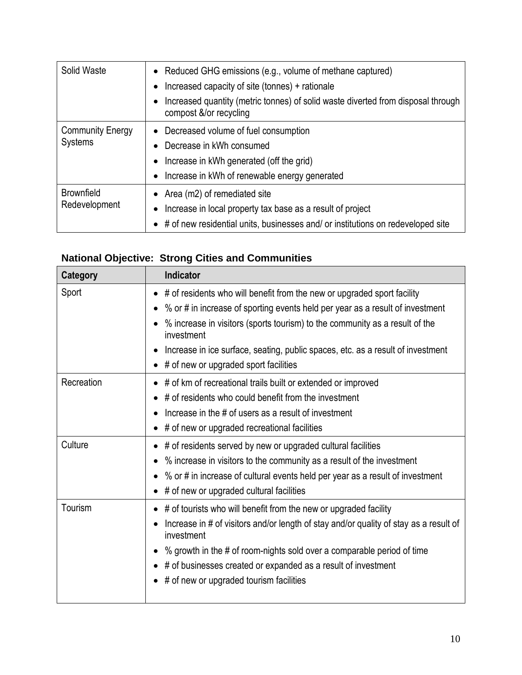| Solid Waste                               | • Reduced GHG emissions (e.g., volume of methane captured)<br>Increased capacity of site (tonnes) + rationale<br>Increased quantity (metric tonnes) of solid waste diverted from disposal through<br>compost &/or recycling |
|-------------------------------------------|-----------------------------------------------------------------------------------------------------------------------------------------------------------------------------------------------------------------------------|
| <b>Community Energy</b><br><b>Systems</b> | • Decreased volume of fuel consumption<br>Decrease in kWh consumed<br>Increase in kWh generated (off the grid)<br>Increase in kWh of renewable energy generated                                                             |
| <b>Brownfield</b><br>Redevelopment        | Area (m2) of remediated site<br>Increase in local property tax base as a result of project<br>• # of new residential units, businesses and/ or institutions on redeveloped site                                             |

# **National Objective: Strong Cities and Communities**

| <b>Category</b> | <b>Indicator</b>                                                                                                                                                                                                                                                                                                                                                                              |
|-----------------|-----------------------------------------------------------------------------------------------------------------------------------------------------------------------------------------------------------------------------------------------------------------------------------------------------------------------------------------------------------------------------------------------|
| Sport           | # of residents who will benefit from the new or upgraded sport facility<br>• % or # in increase of sporting events held per year as a result of investment<br>% increase in visitors (sports tourism) to the community as a result of the<br>investment<br>Increase in ice surface, seating, public spaces, etc. as a result of investment<br>$\bullet$ # of new or upgraded sport facilities |
| Recreation      | # of km of recreational trails built or extended or improved<br># of residents who could benefit from the investment<br>Increase in the # of users as a result of investment<br>$\bullet$ # of new or upgraded recreational facilities                                                                                                                                                        |
| Culture         | # of residents served by new or upgraded cultural facilities<br>% increase in visitors to the community as a result of the investment<br>• % or # in increase of cultural events held per year as a result of investment<br># of new or upgraded cultural facilities                                                                                                                          |
| Tourism         | # of tourists who will benefit from the new or upgraded facility<br>Increase in # of visitors and/or length of stay and/or quality of stay as a result of<br>investment<br>% growth in the # of room-nights sold over a comparable period of time<br>$\bullet$<br>• # of businesses created or expanded as a result of investment<br># of new or upgraded tourism facilities                  |